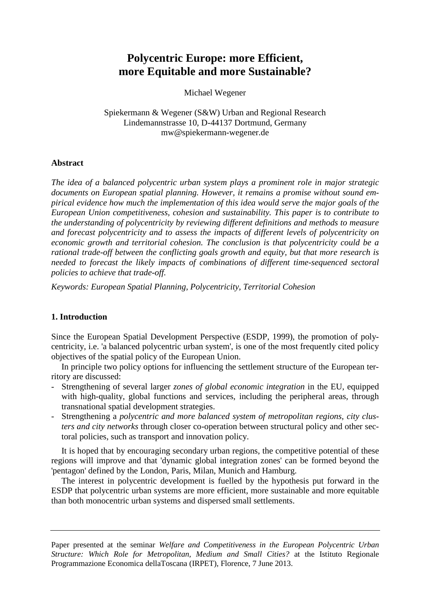# **Polycentric Europe: more Efficient, more Equitable and more Sustainable?**

Michael Wegener

Spiekermann & Wegener (S&W) Urban and Regional Research Lindemannstrasse 10, D-44137 Dortmund, Germany mw@spiekermann-wegener.de

## **Abstract**

*The idea of a balanced polycentric urban system plays a prominent role in major strategic documents on European spatial planning. However, it remains a promise without sound empirical evidence how much the implementation of this idea would serve the major goals of the European Union competitiveness, cohesion and sustainability. This paper is to contribute to the understanding of polycentricity by reviewing different definitions and methods to measure and forecast polycentricity and to assess the impacts of different levels of polycentricity on economic growth and territorial cohesion. The conclusion is that polycentricity could be a rational trade-off between the conflicting goals growth and equity, but that more research is needed to forecast the likely impacts of combinations of different time-sequenced sectoral policies to achieve that trade-off.* 

*Keywords: European Spatial Planning, Polycentricity, Territorial Cohesion* 

# **1. Introduction**

Since the European Spatial Development Perspective (ESDP, 1999), the promotion of polycentricity, i.e. 'a balanced polycentric urban system', is one of the most frequently cited policy objectives of the spatial policy of the European Union.

In principle two policy options for influencing the settlement structure of the European territory are discussed:

- Strengthening of several larger *zones of global economic integration* in the EU, equipped with high-quality, global functions and services, including the peripheral areas, through transnational spatial development strategies.
- Strengthening a *polycentric and more balanced system of metropolitan regions, city clusters and city networks* through closer co-operation between structural policy and other sectoral policies, such as transport and innovation policy.

It is hoped that by encouraging secondary urban regions, the competitive potential of these regions will improve and that 'dynamic global integration zones' can be formed beyond the 'pentagon' defined by the London, Paris, Milan, Munich and Hamburg.

The interest in polycentric development is fuelled by the hypothesis put forward in the ESDP that polycentric urban systems are more efficient, more sustainable and more equitable than both monocentric urban systems and dispersed small settlements.

Paper presented at the seminar *Welfare and Competitiveness in the European Polycentric Urban Structure: Which Role for Metropolitan, Medium and Small Cities?* at the Istituto Regionale Programmazione Economica dellaToscana (IRPET), Florence, 7 June 2013.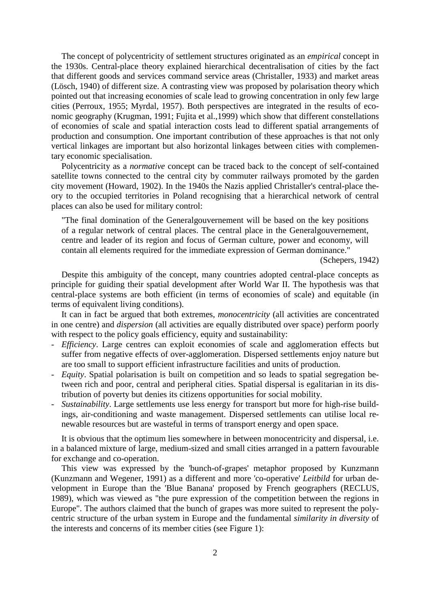The concept of polycentricity of settlement structures originated as an *empirical* concept in the 1930s. Central-place theory explained hierarchical decentralisation of cities by the fact that different goods and services command service areas (Christaller, 1933) and market areas (Lösch, 1940) of different size. A contrasting view was proposed by polarisation theory which pointed out that increasing economies of scale lead to growing concentration in only few large cities (Perroux, 1955; Myrdal, 1957). Both perspectives are integrated in the results of economic geography (Krugman, 1991; Fujita et al.,1999) which show that different constellations of economies of scale and spatial interaction costs lead to different spatial arrangements of production and consumption. One important contribution of these approaches is that not only vertical linkages are important but also horizontal linkages between cities with complementary economic specialisation.

Polycentricity as a *normative* concept can be traced back to the concept of self-contained satellite towns connected to the central city by commuter railways promoted by the garden city movement (Howard, 1902). In the 1940s the Nazis applied Christaller's central-place theory to the occupied territories in Poland recognising that a hierarchical network of central places can also be used for military control:

"The final domination of the Generalgouvernement will be based on the key positions of a regular network of central places. The central place in the Generalgouvernement, centre and leader of its region and focus of German culture, power and economy, will contain all elements required for the immediate expression of German dominance."

(Schepers, 1942)

Despite this ambiguity of the concept, many countries adopted central-place concepts as principle for guiding their spatial development after World War II. The hypothesis was that central-place systems are both efficient (in terms of economies of scale) and equitable (in terms of equivalent living conditions).

It can in fact be argued that both extremes, *monocentricity* (all activities are concentrated in one centre) and *dispersion* (all activities are equally distributed over space) perform poorly with respect to the policy goals efficiency, equity and sustainability:

- *Efficiency*. Large centres can exploit economies of scale and agglomeration effects but suffer from negative effects of over-agglomeration. Dispersed settlements enjoy nature but are too small to support efficient infrastructure facilities and units of production.
- *Equity*. Spatial polarisation is built on competition and so leads to spatial segregation between rich and poor, central and peripheral cities. Spatial dispersal is egalitarian in its distribution of poverty but denies its citizens opportunities for social mobility.
- *Sustainability*. Large settlements use less energy for transport but more for high-rise buildings, air-conditioning and waste management. Dispersed settlements can utilise local renewable resources but are wasteful in terms of transport energy and open space.

It is obvious that the optimum lies somewhere in between monocentricity and dispersal, i.e. in a balanced mixture of large, medium-sized and small cities arranged in a pattern favourable for exchange and co-operation.

This view was expressed by the 'bunch-of-grapes' metaphor proposed by Kunzmann (Kunzmann and Wegener, 1991) as a different and more 'co-operative' *Leitbild* for urban development in Europe than the 'Blue Banana' proposed by French geographers (RECLUS, 1989), which was viewed as "the pure expression of the competition between the regions in Europe". The authors claimed that the bunch of grapes was more suited to represent the polycentric structure of the urban system in Europe and the fundamental *similarity in diversity* of the interests and concerns of its member cities (see Figure 1):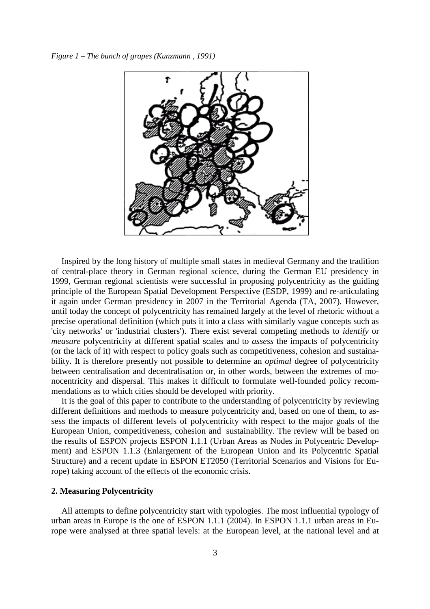*Figure 1 – The bunch of grapes (Kunzmann , 1991)* 



Inspired by the long history of multiple small states in medieval Germany and the tradition of central-place theory in German regional science, during the German EU presidency in 1999, German regional scientists were successful in proposing polycentricity as the guiding principle of the European Spatial Development Perspective (ESDP, 1999) and re-articulating it again under German presidency in 2007 in the Territorial Agenda (TA, 2007). However, until today the concept of polycentricity has remained largely at the level of rhetoric without a precise operational definition (which puts it into a class with similarly vague concepts such as 'city networks' or 'industrial clusters'). There exist several competing methods to *identify* or *measure* polycentricity at different spatial scales and to *assess* the impacts of polycentricity (or the lack of it) with respect to policy goals such as competitiveness, cohesion and sustainability. It is therefore presently not possible to determine an *optimal* degree of polycentricity between centralisation and decentralisation or, in other words, between the extremes of monocentricity and dispersal. This makes it difficult to formulate well-founded policy recommendations as to which cities should be developed with priority.

It is the goal of this paper to contribute to the understanding of polycentricity by reviewing different definitions and methods to measure polycentricity and, based on one of them, to assess the impacts of different levels of polycentricity with respect to the major goals of the European Union, competitiveness, cohesion and sustainability. The review will be based on the results of ESPON projects ESPON 1.1.1 (Urban Areas as Nodes in Polycentric Development) and ESPON 1.1.3 (Enlargement of the European Union and its Polycentric Spatial Structure) and a recent update in ESPON ET2050 (Territorial Scenarios and Visions for Europe) taking account of the effects of the economic crisis.

## **2. Measuring Polycentricity**

All attempts to define polycentricity start with typologies. The most influential typology of urban areas in Europe is the one of ESPON 1.1.1 (2004). In ESPON 1.1.1 urban areas in Europe were analysed at three spatial levels: at the European level, at the national level and at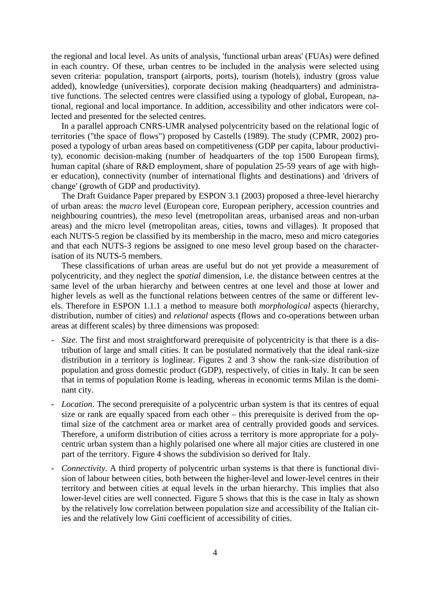the regional and local level. As units of analysis, 'functional urban areas' (FUAs) were defined in each country. Of these, urban centres to be included in the analysis were selected using seven criteria: population, transport (airports, ports), tourism (hotels), industry (gross value added), knowledge (universities), corporate decision making (headquarters) and administrative functions. The selected centres were classified using a typology of global, European, national, regional and local importance. In addition, accessibility and other indicators were collected and presented for the selected centres.

In a parallel approach CNRS-UMR analysed polycentricity based on the relational logic of territories ("the space of flows") proposed by Castells (1989). The study (CPMR, 2002) proposed a typology of urban areas based on competitiveness (GDP per capita, labour productivity), economic decision-making (number of headquarters of the top 1500 European firms), human capital (share of R&D employment, share of population 25-59 years of age with higher education), connectivity (number of international flights and destinations) and 'drivers of change' (growth of GDP and productivity).

The Draft Guidance Paper prepared by ESPON 3.1 (2003) proposed a three-level hierarchy of urban areas: the *macro* level (European core, European periphery, accession countries and neighbouring countries), the *meso* level (metropolitan areas, urbanised areas and non-urban areas) and the micro level (metropolitan areas, cities, towns and villages). It proposed that each NUTS-5 region be classified by its membership in the macro, meso and micro categories and that each NUTS-3 regions be assigned to one meso level group based on the characterisation of its NUTS-5 members.

These classifications of urban areas are useful but do not yet provide a measurement of polycentricity, and they neglect the *spatial* dimension, i.e. the distance between centres at the same level of the urban hierarchy and between centres at one level and those at lower and higher levels as well as the functional relations between centres of the same or different levels. Therefore in ESPON 1.1.1 a method to measure both *morphological* aspects (hierarchy, distribution, number of cities) and *relational* aspects (flows and co-operations between urban areas at different scales) by three dimensions was proposed:

- *Size*. The first and most straightforward prerequisite of polycentricity is that there is a distribution of large and small cities. It can be postulated normatively that the ideal rank-size distribution in a territory is loglinear. Figures 2 and 3 show the rank-size distribution of population and gross domestic product (GDP), respectively, of cities in Italy. It can be seen that in terms of population Rome is leading, whereas in economic terms Milan is the dominant city.
- *Location*. The second prerequisite of a polycentric urban system is that its centres of equal size or rank are equally spaced from each other – this prerequisite is derived from the optimal size of the catchment area or market area of centrally provided goods and services. Therefore, a uniform distribution of cities across a territory is more appropriate for a polycentric urban system than a highly polarised one where all major cities are clustered in one part of the territory. Figure 4 shows the subdivision so derived for Italy.
- *Connectivity.* A third property of polycentric urban systems is that there is functional division of labour between cities, both between the higher-level and lower-level centres in their territory and between cities at equal levels in the urban hierarchy. This implies that also lower-level cities are well connected. Figure 5 shows that this is the case in Italy as shown by the relatively low correlation between population size and accessibility of the Italian cities and the relatively low Gini coefficient of accessibility of cities.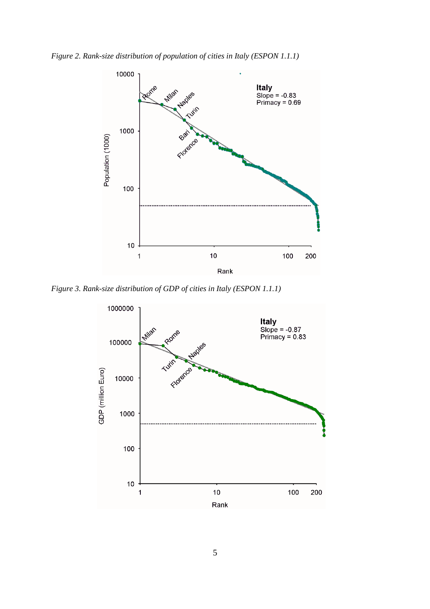*Figure 2. Rank-size distribution of population of cities in Italy (ESPON 1.1.1)* 



*Figure 3. Rank-size distribution of GDP of cities in Italy (ESPON 1.1.1)* 

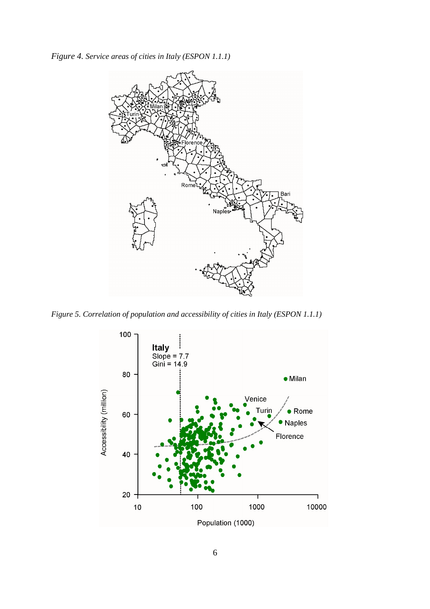*Figure 4. Service areas of cities in Italy (ESPON 1.1.1)*



*Figure 5. Correlation of population and accessibility of cities in Italy (ESPON 1.1.1)* 

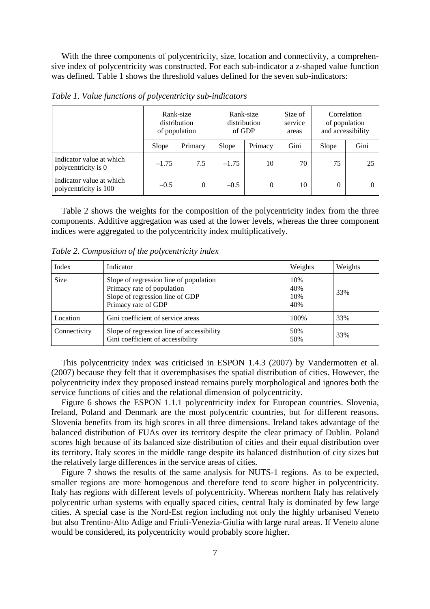With the three components of polycentricity, size, location and connectivity, a comprehensive index of polycentricity was constructed. For each sub-indicator a z-shaped value function was defined. Table 1 shows the threshold values defined for the seven sub-indicators:

|                                                   | of population | Rank-size<br>distribution | distribution<br>of GDP | Rank-size      | Size of<br>service<br>areas | of population<br>and accessibility | Correlation |
|---------------------------------------------------|---------------|---------------------------|------------------------|----------------|-----------------------------|------------------------------------|-------------|
|                                                   | Slope         | Primacy                   | Slope                  | Primacy        | Gini                        | Slope                              | Gini        |
| Indicator value at which<br>polycentricity is 0   | $-1.75$       | 7.5                       | $-1.75$                | 10             | 70                          | 75                                 | 25          |
| Indicator value at which<br>polycentricity is 100 | $-0.5$        | $\Omega$                  | $-0.5$                 | $\overline{0}$ | 10                          | 0                                  |             |

*Table 1. Value functions of polycentricity sub-indicators* 

Table 2 shows the weights for the composition of the polycentricity index from the three components. Additive aggregation was used at the lower levels, whereas the three component indices were aggregated to the polycentricity index multiplicatively.

*Table 2. Composition of the polycentricity index* 

| Index        | Indicator                                                                                                                      | Weights                  | Weights |
|--------------|--------------------------------------------------------------------------------------------------------------------------------|--------------------------|---------|
| <b>Size</b>  | Slope of regression line of population<br>Primacy rate of population<br>Slope of regression line of GDP<br>Primacy rate of GDP | 10%<br>40%<br>10%<br>40% | 33%     |
| Location     | Gini coefficient of service areas                                                                                              | 100%                     | 33%     |
| Connectivity | Slope of regression line of accessibility<br>Gini coefficient of accessibility                                                 | 50%<br>50%               | 33%     |

This polycentricity index was criticised in ESPON 1.4.3 (2007) by Vandermotten et al. (2007) because they felt that it overemphasises the spatial distribution of cities. However, the polycentricity index they proposed instead remains purely morphological and ignores both the service functions of cities and the relational dimension of polycentricity.

Figure 6 shows the ESPON 1.1.1 polycentricity index for European countries. Slovenia, Ireland, Poland and Denmark are the most polycentric countries, but for different reasons. Slovenia benefits from its high scores in all three dimensions. Ireland takes advantage of the balanced distribution of FUAs over its territory despite the clear primacy of Dublin. Poland scores high because of its balanced size distribution of cities and their equal distribution over its territory. Italy scores in the middle range despite its balanced distribution of city sizes but the relatively large differences in the service areas of cities.

Figure 7 shows the results of the same analysis for NUTS-1 regions. As to be expected, smaller regions are more homogenous and therefore tend to score higher in polycentricity. Italy has regions with different levels of polycentricity. Whereas northern Italy has relatively polycentric urban systems with equally spaced cities, central Italy is dominated by few large cities. A special case is the Nord-Est region including not only the highly urbanised Veneto but also Trentino-Alto Adige and Friuli-Venezia-Giulia with large rural areas. If Veneto alone would be considered, its polycentricity would probably score higher.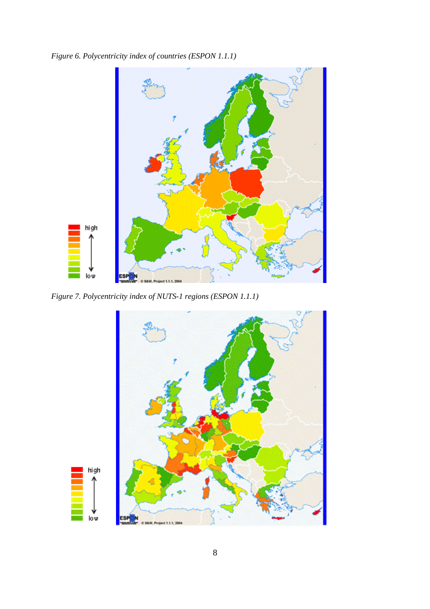*Figure 6. Polycentricity index of countries (ESPON 1.1.1)* 



*Figure 7. Polycentricity index of NUTS-1 regions (ESPON 1.1.1)*

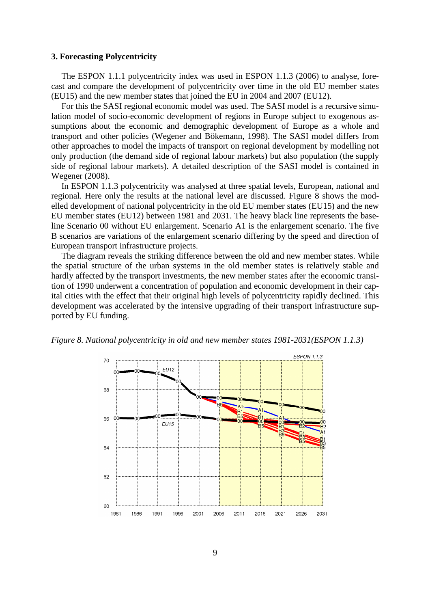#### **3. Forecasting Polycentricity**

The ESPON 1.1.1 polycentricity index was used in ESPON 1.1.3 (2006) to analyse, forecast and compare the development of polycentricity over time in the old EU member states (EU15) and the new member states that joined the EU in 2004 and 2007 (EU12).

For this the SASI regional economic model was used. The SASI model is a recursive simulation model of socio-economic development of regions in Europe subject to exogenous assumptions about the economic and demographic development of Europe as a whole and transport and other policies (Wegener and Bökemann, 1998). The SASI model differs from other approaches to model the impacts of transport on regional development by modelling not only production (the demand side of regional labour markets) but also population (the supply side of regional labour markets). A detailed description of the SASI model is contained in Wegener (2008).

In ESPON 1.1.3 polycentricity was analysed at three spatial levels, European, national and regional. Here only the results at the national level are discussed. Figure 8 shows the modelled development of national polycentricity in the old EU member states (EU15) and the new EU member states (EU12) between 1981 and 2031. The heavy black line represents the baseline Scenario 00 without EU enlargement. Scenario A1 is the enlargement scenario. The five B scenarios are variations of the enlargement scenario differing by the speed and direction of European transport infrastructure projects.

The diagram reveals the striking difference between the old and new member states. While the spatial structure of the urban systems in the old member states is relatively stable and hardly affected by the transport investments, the new member states after the economic transition of 1990 underwent a concentration of population and economic development in their capital cities with the effect that their original high levels of polycentricity rapidly declined. This development was accelerated by the intensive upgrading of their transport infrastructure supported by EU funding.



*Figure 8. National polycentricity in old and new member states 1981-2031(ESPON 1.1.3)*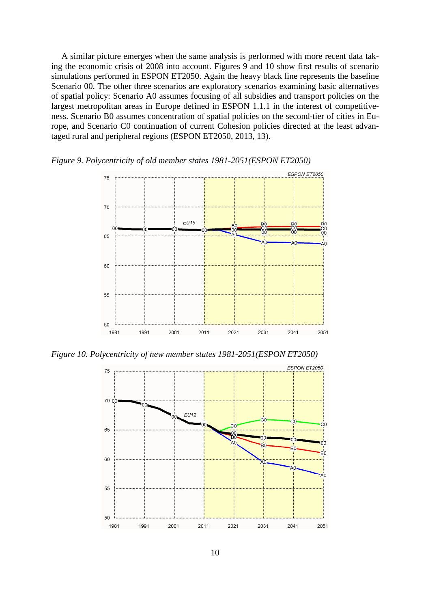A similar picture emerges when the same analysis is performed with more recent data taking the economic crisis of 2008 into account. Figures 9 and 10 show first results of scenario simulations performed in ESPON ET2050. Again the heavy black line represents the baseline Scenario 00. The other three scenarios are exploratory scenarios examining basic alternatives of spatial policy: Scenario A0 assumes focusing of all subsidies and transport policies on the largest metropolitan areas in Europe defined in ESPON 1.1.1 in the interest of competitiveness. Scenario B0 assumes concentration of spatial policies on the second-tier of cities in Europe, and Scenario C0 continuation of current Cohesion policies directed at the least advantaged rural and peripheral regions (ESPON ET2050, 2013, 13).



*Figure 9. Polycentricity of old member states 1981-2051(ESPON ET2050)* 

*Figure 10. Polycentricity of new member states 1981-2051(ESPON ET2050)*

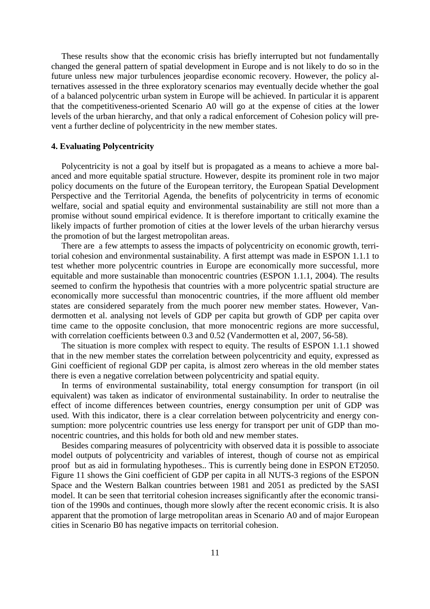These results show that the economic crisis has briefly interrupted but not fundamentally changed the general pattern of spatial development in Europe and is not likely to do so in the future unless new major turbulences jeopardise economic recovery. However, the policy alternatives assessed in the three exploratory scenarios may eventually decide whether the goal of a balanced polycentric urban system in Europe will be achieved. In particular it is apparent that the competitiveness-oriented Scenario A0 will go at the expense of cities at the lower levels of the urban hierarchy, and that only a radical enforcement of Cohesion policy will prevent a further decline of polycentricity in the new member states.

#### **4. Evaluating Polycentricity**

Polycentricity is not a goal by itself but is propagated as a means to achieve a more balanced and more equitable spatial structure. However, despite its prominent role in two major policy documents on the future of the European territory, the European Spatial Development Perspective and the Territorial Agenda, the benefits of polycentricity in terms of economic welfare, social and spatial equity and environmental sustainability are still not more than a promise without sound empirical evidence. It is therefore important to critically examine the likely impacts of further promotion of cities at the lower levels of the urban hierarchy versus the promotion of but the largest metropolitan areas.

There are a few attempts to assess the impacts of polycentricity on economic growth, territorial cohesion and environmental sustainability. A first attempt was made in ESPON 1.1.1 to test whether more polycentric countries in Europe are economically more successful, more equitable and more sustainable than monocentric countries (ESPON 1.1.1, 2004). The results seemed to confirm the hypothesis that countries with a more polycentric spatial structure are economically more successful than monocentric countries, if the more affluent old member states are considered separately from the much poorer new member states. However, Vandermotten et al. analysing not levels of GDP per capita but growth of GDP per capita over time came to the opposite conclusion, that more monocentric regions are more successful, with correlation coefficients between 0.3 and 0.52 (Vandermotten et al, 2007, 56-58).

The situation is more complex with respect to equity. The results of ESPON 1.1.1 showed that in the new member states the correlation between polycentricity and equity, expressed as Gini coefficient of regional GDP per capita, is almost zero whereas in the old member states there is even a negative correlation between polycentricity and spatial equity.

In terms of environmental sustainability, total energy consumption for transport (in oil equivalent) was taken as indicator of environmental sustainability. In order to neutralise the effect of income differences between countries, energy consumption per unit of GDP was used. With this indicator, there is a clear correlation between polycentricity and energy consumption: more polycentric countries use less energy for transport per unit of GDP than monocentric countries, and this holds for both old and new member states.

Besides comparing measures of polycentricity with observed data it is possible to associate model outputs of polycentricity and variables of interest, though of course not as empirical proof but as aid in formulating hypotheses.. This is currently being done in ESPON ET2050. Figure 11 shows the Gini coefficient of GDP per capita in all NUTS-3 regions of the ESPON Space and the Western Balkan countries between 1981 and 2051 as predicted by the SASI model. It can be seen that territorial cohesion increases significantly after the economic transition of the 1990s and continues, though more slowly after the recent economic crisis. It is also apparent that the promotion of large metropolitan areas in Scenario A0 and of major European cities in Scenario B0 has negative impacts on territorial cohesion.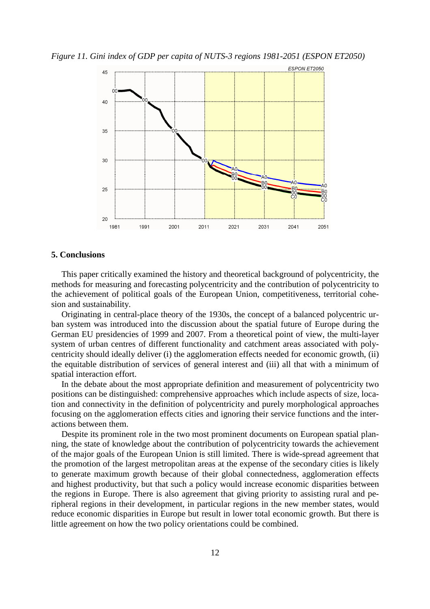*Figure 11. Gini index of GDP per capita of NUTS-3 regions 1981-2051 (ESPON ET2050)* 



### **5. Conclusions**

This paper critically examined the history and theoretical background of polycentricity, the methods for measuring and forecasting polycentricity and the contribution of polycentricity to the achievement of political goals of the European Union, competitiveness, territorial cohesion and sustainability.

Originating in central-place theory of the 1930s, the concept of a balanced polycentric urban system was introduced into the discussion about the spatial future of Europe during the German EU presidencies of 1999 and 2007. From a theoretical point of view, the multi-layer system of urban centres of different functionality and catchment areas associated with polycentricity should ideally deliver (i) the agglomeration effects needed for economic growth, (ii) the equitable distribution of services of general interest and (iii) all that with a minimum of spatial interaction effort.

In the debate about the most appropriate definition and measurement of polycentricity two positions can be distinguished: comprehensive approaches which include aspects of size, location and connectivity in the definition of polycentricity and purely morphological approaches focusing on the agglomeration effects cities and ignoring their service functions and the interactions between them.

Despite its prominent role in the two most prominent documents on European spatial planning, the state of knowledge about the contribution of polycentricity towards the achievement of the major goals of the European Union is still limited. There is wide-spread agreement that the promotion of the largest metropolitan areas at the expense of the secondary cities is likely to generate maximum growth because of their global connectedness, agglomeration effects and highest productivity, but that such a policy would increase economic disparities between the regions in Europe. There is also agreement that giving priority to assisting rural and peripheral regions in their development, in particular regions in the new member states, would reduce economic disparities in Europe but result in lower total economic growth. But there is little agreement on how the two policy orientations could be combined.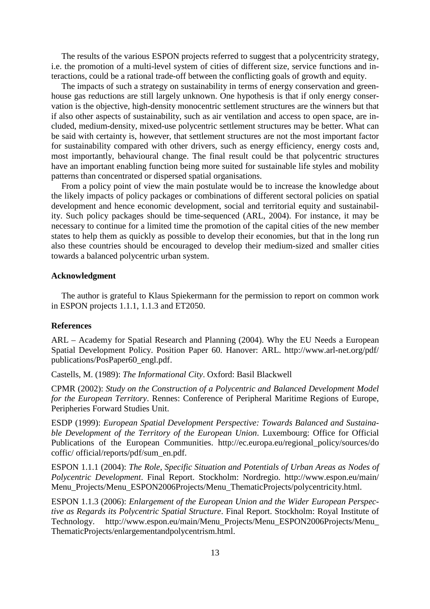The results of the various ESPON projects referred to suggest that a polycentricity strategy, i.e. the promotion of a multi-level system of cities of different size, service functions and interactions, could be a rational trade-off between the conflicting goals of growth and equity.

The impacts of such a strategy on sustainability in terms of energy conservation and greenhouse gas reductions are still largely unknown. One hypothesis is that if only energy conservation is the objective, high-density monocentric settlement structures are the winners but that if also other aspects of sustainability, such as air ventilation and access to open space, are included, medium-density, mixed-use polycentric settlement structures may be better. What can be said with certainty is, however, that settlement structures are not the most important factor for sustainability compared with other drivers, such as energy efficiency, energy costs and, most importantly, behavioural change. The final result could be that polycentric structures have an important enabling function being more suited for sustainable life styles and mobility patterns than concentrated or dispersed spatial organisations.

From a policy point of view the main postulate would be to increase the knowledge about the likely impacts of policy packages or combinations of different sectoral policies on spatial development and hence economic development, social and territorial equity and sustainability. Such policy packages should be time-sequenced (ARL, 2004). For instance, it may be necessary to continue for a limited time the promotion of the capital cities of the new member states to help them as quickly as possible to develop their economies, but that in the long run also these countries should be encouraged to develop their medium-sized and smaller cities towards a balanced polycentric urban system.

#### **Acknowledgment**

The author is grateful to Klaus Spiekermann for the permission to report on common work in ESPON projects 1.1.1, 1.1.3 and ET2050.

#### **References**

ARL – Academy for Spatial Research and Planning (2004). Why the EU Needs a European Spatial Development Policy. Position Paper 60. Hanover: ARL. http://www.arl-net.org/pdf/ publications/PosPaper60\_engl.pdf.

Castells, M. (1989): *The Informational City*. Oxford: Basil Blackwell

CPMR (2002): *Study on the Construction of a Polycentric and Balanced Development Model for the European Territory*. Rennes: Conference of Peripheral Maritime Regions of Europe, Peripheries Forward Studies Unit.

ESDP (1999): *European Spatial Development Perspective: Towards Balanced and Sustainable Development of the Territory of the European Union*. Luxembourg: Office for Official Publications of the European Communities. http://ec.europa.eu/regional policy/sources/do coffic/ official/reports/pdf/sum\_en.pdf.

ESPON 1.1.1 (2004): *The Role, Specific Situation and Potentials of Urban Areas as Nodes of Polycentric Development*. Final Report. Stockholm: Nordregio. http://www.espon.eu/main/ Menu Projects/Menu ESPON2006Projects/Menu ThematicProjects/polycentricity.html.

ESPON 1.1.3 (2006): *Enlargement of the European Union and the Wider European Perspective as Regards its Polycentric Spatial Structure*. Final Report. Stockholm: Royal Institute of Technology. http://www.espon.eu/main/Menu\_Projects/Menu\_ESPON2006Projects/Menu\_ ThematicProjects/enlargementandpolycentrism.html.